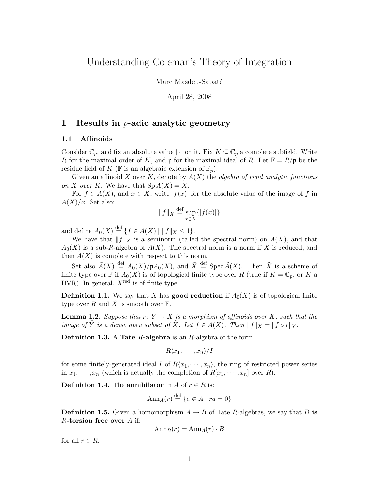# Understanding Coleman's Theory of Integration

Marc Masdeu-Sabaté

April 28, 2008

## 1 Results in  $p$ -adic analytic geometry

### 1.1 Affinoids

Consider  $\mathbb{C}_p$ , and fix an absolute value  $|\cdot|$  on it. Fix  $K \subseteq \mathbb{C}_p$  a complete subfield. Write R for the maximal order of K, and  $\mathfrak p$  for the maximal ideal of R. Let  $\mathbb F = R/\mathfrak p$  be the residue field of K ( $\mathbb F$  is an algebraic extension of  $\mathbb F_p$ ).

Given an affinoid X over K, denote by  $A(X)$  the algebra of rigid analytic functions on X over K. We have that  $Sp A(X) = X$ .

For  $f \in A(X)$ , and  $x \in X$ , write  $|f(x)|$  for the absolute value of the image of f in  $A(X)/x$ . Set also:

$$
||f||_X \stackrel{\text{def}}{=} \sup_{x \in X} \{ |f(x)| \}
$$

and define  $A_0(X) \stackrel{\text{def}}{=} \{ f \in A(X) \mid ||f||_X \leq 1 \}.$ 

We have that  $||f||_X$  is a seminorm (called the spectral norm) on  $A(X)$ , and that  $A_0(X)$  is a sub-R-algebra of  $A(X)$ . The spectral norm is a norm if X is reduced, and then  $A(X)$  is complete with respect to this norm.

Set also  $\tilde{A}(X) \stackrel{\text{def}}{=} A_0(X)/\mathfrak{p}A_0(X)$ , and  $\tilde{X} \stackrel{\text{def}}{=} \text{Spec } \tilde{A}(X)$ . Then  $\tilde{X}$  is a scheme of finite type over  $\mathbb F$  if  $A_0(X)$  is of topological finite type over R (true if  $K = \mathbb C_p$ , or K a DVR). In general,  $\tilde{X}^{\text{red}}$  is of finite type.

**Definition 1.1.** We say that X has **good reduction** if  $A_0(X)$  is of topological finite type over R and X is smooth over  $\mathbb{F}$ .

**Lemma 1.2.** Suppose that  $r: Y \to X$  is a morphism of affinoids over K, such that the image of Y is a dense open subset of X. Let  $f \in A(X)$ . Then  $||f||_X = ||f \circ r||_Y$ .

**Definition 1.3.** A Tate  $R$ -algebra is an  $R$ -algebra of the form

$$
R\langle x_1,\cdots,x_n\rangle/I
$$

for some finitely-generated ideal I of  $R\langle x_1, \dots, x_n \rangle$ , the ring of restricted power series in  $x_1, \dots, x_n$  (which is actually the completion of  $R[x_1, \dots, x_n]$  over R).

**Definition 1.4.** The **annihilator** in A of  $r \in R$  is:

$$
Ann_A(r) \stackrel{\text{def}}{=} \{a \in A \mid ra = 0\}
$$

**Definition 1.5.** Given a homomorphism  $A \rightarrow B$  of Tate R-algebras, we say that B is  $R$ -torsion free over  $A$  if:

$$
Ann_B(r) = Ann_A(r) \cdot B
$$

for all  $r \in R$ .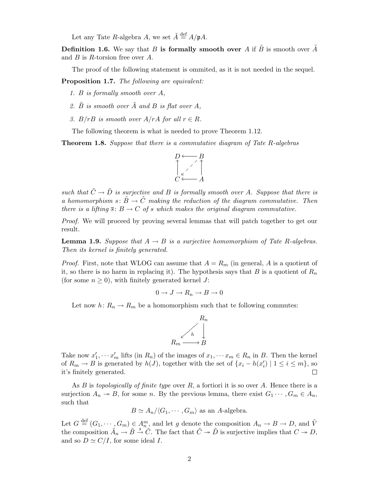Let any Tate R-algebra A, we set  $\tilde{A} \stackrel{\text{def}}{=} A/\mathfrak{p}A$ .

**Definition 1.6.** We say that B is formally smooth over A if B is smooth over  $\overrightarrow{A}$ and  $B$  is  $R$ -torsion free over  $A$ .

The proof of the following statement is ommited, as it is not needed in the sequel.

Proposition 1.7. The following are equivalent:

- 1. B is formally smooth over A,
- 2.  $\tilde{B}$  is smooth over  $\tilde{A}$  and  $B$  is flat over  $A$ ,
- 3. B/rB is smooth over  $A/rA$  for all  $r \in R$ .

The following theorem is what is needed to prove Theorem 1.12.

**Theorem 1.8.** Suppose that there is a commutative diagram of Tate R-algebras



such that  $\tilde{C} \rightarrow \tilde{D}$  is surjective and B is formally smooth over A. Suppose that there is a homomorphism  $s: \tilde{B} \to \tilde{C}$  making the reduction of the diagram commutative. Then there is a lifting  $\overline{s}$ :  $B \to C$  of s which makes the original diagram commutative.

Proof. We will proceed by proving several lemmas that will patch together to get our result.

**Lemma 1.9.** Suppose that  $A \rightarrow B$  is a surjective homomorphism of Tate R-algebras. Then its kernel is finitely generated.

*Proof.* First, note that WLOG can assume that  $A = R_m$  (in general, A is a quotient of it, so there is no harm in replacing it). The hypothesis says that  $B$  is a quotient of  $R_n$ (for some  $n \geq 0$ ), with finitely generated kernel J:

$$
0 \to J \to R_n \to B \to 0
$$

Let now  $h: R_n \to R_m$  be a homomorphism such that te following commutes:



Take now  $x'_1, \dots, x'_m$  lifts (in  $R_n$ ) of the images of  $x_1, \dots, x_m \in R_n$  in B. Then the kernel of  $R_m \to B$  is generated by  $h(J)$ , together with the set of  $\{x_i - h(x'_i) \mid 1 \leq i \leq m\}$ , so it's finitely generated. П

As  $B$  is topologically of finite type over  $R$ , a fortiori it is so over  $A$ . Hence there is a surjection  $A_n \to B$ , for some n. By the previous lemma, there exist  $G_1 \cdots, G_m \in A_n$ , such that

$$
B \simeq A_n / \langle G_1, \cdots, G_m \rangle
$$
 as an A-algebra.

Let  $G \stackrel{\text{def}}{=} (G_1, \dots, G_m) \in A_m^m$ , and let g denote the composition  $A_n \to B \to D$ , and  $\tilde{V}$ the composition  $\tilde{A}_n \to \tilde{B} \stackrel{s}{\to} \tilde{C}$ . The fact that  $\tilde{C} \twoheadrightarrow \tilde{D}$  is surjective implies that  $C \twoheadrightarrow D$ , and so  $D \simeq C/I$ , for some ideal I.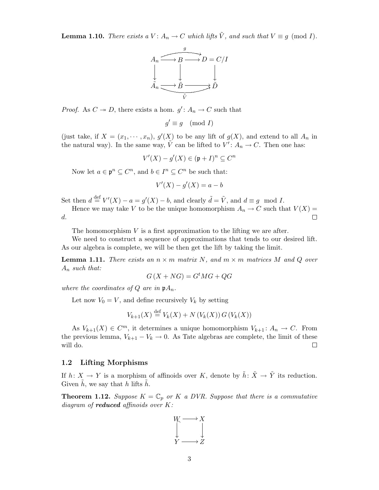**Lemma 1.10.** There exists a  $V: A_n \to C$  which lifts  $\tilde{V}$ , and such that  $V \equiv g \pmod{I}$ .



*Proof.* As  $C \rightarrow D$ , there exists a hom.  $g' : A_n \rightarrow C$  such that

$$
g' \equiv g \pmod{I}
$$

(just take, if  $X = (x_1, \dots, x_n)$ ,  $g'(X)$  to be any lift of  $g(X)$ , and extend to all  $A_n$  in the natural way). In the same way,  $\tilde{V}$  can be lifted to  $V' : A_n \to C$ . Then one has:

$$
V'(X) - g'(X) \in (\mathfrak{p} + I)^n \subseteq C^n
$$

Now let  $a \in \mathfrak{p}^n \subseteq C^n$ , and  $b \in I^n \subseteq C^n$  be such that:

$$
V'(X) - g'(X) = a - b
$$

Set then  $d \stackrel{\text{def}}{=} V'(X) - a = g'(X) - b$ , and clearly  $\tilde{d} = \tilde{V}$ , and  $d \equiv g \mod I$ .

Hence we may take V to be the unique homomorphism  $A_n \to C$  such that  $V(X) =$ d. П

The homomorphism  $V$  is a first approximation to the lifting we are after.

We need to construct a sequence of approximations that tends to our desired lift. As our algebra is complete, we will be then get the lift by taking the limit.

**Lemma 1.11.** There exists an  $n \times m$  matrix N, and  $m \times m$  matrices M and Q over  $A_n$  such that:

$$
G\left(X + NG\right) = G^t MG + QG
$$

where the coordinates of Q are in  $\mathfrak{p}A_n$ .

Let now  $V_0 = V$ , and define recursively  $V_k$  by setting

$$
V_{k+1}(X) \stackrel{\text{def}}{=} V_k(X) + N\left(V_k(X)\right)G\left(V_k(X)\right)
$$

As  $V_{k+1}(X) \in \mathbb{C}^m$ , it determines a unique homomorphism  $V_{k+1}: A_n \to \mathbb{C}$ . From the previous lemma,  $V_{k+1} - V_k \to 0$ . As Tate algebras are complete, the limit of these will do.  $\Box$ 

#### 1.2 Lifting Morphisms

If  $h: X \to Y$  is a morphism of affinoids over K, denote by  $\tilde{h}: \tilde{X} \to \tilde{Y}$  its reduction. Given  $h$ , we say that h lifts h.

**Theorem 1.12.** Suppose  $K = \mathbb{C}_p$  or K a DVR. Suppose that there is a commutative diagram of **reduced** affinoids over  $K$ :

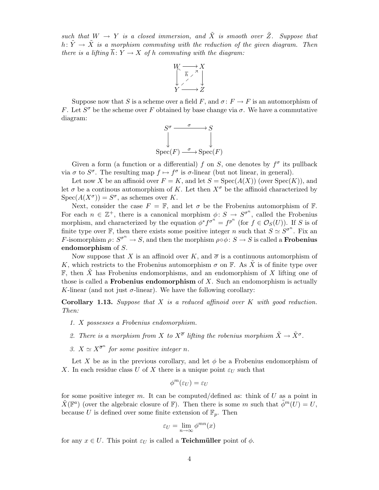such that  $W \to Y$  is a closed immersion, and  $\tilde{X}$  is smooth over  $\tilde{Z}$ . Suppose that h:  $\tilde{Y} \rightarrow \tilde{X}$  is a morphism commuting with the reduction of the given diagram. Then there is a lifting  $\overline{h}: Y \to X$  of h commuting with the diagram:



Suppose now that S is a scheme over a field F, and  $\sigma: F \to F$  is an automorphism of F. Let  $S^{\sigma}$  be the scheme over F obtained by base change via  $\sigma$ . We have a commutative diagram:

$$
S^{\sigma} \xrightarrow{\sigma} S
$$
  
\n
$$
\downarrow \qquad \qquad S
$$
  
\n
$$
\text{Spec}(F) \xrightarrow{\sigma} \text{Spec}(F)
$$

Given a form (a function or a differential) f on S, one denotes by  $f^{\sigma}$  its pullback via  $\sigma$  to  $S^{\sigma}$ . The resulting map  $f \mapsto f^{\sigma}$  is  $\sigma$ -linear (but not linear, in general).

Let now X be an affinoid over  $F = K$ , and let  $S = Spec(A(X))$  (over  $Spec(K)$ ), and let  $\sigma$  be a continous automorphism of K. Let then  $X^{\sigma}$  be the affinoid characterized by  $Spec(A(X^{\sigma})) = S^{\sigma}$ , as schemes over K.

Next, consider the case  $F = \mathbb{F}$ , and let  $\sigma$  be the Frobenius automorphism of  $\mathbb{F}$ . For each  $n \in \mathbb{Z}^+$ , there is a canonical morphism  $\phi \colon S \to S^{\sigma^n}$ , called the Frobenius morphism, and characterized by the equation  $\phi^* f^{\sigma^n} = f^{p^n}$  (for  $f \in \mathcal{O}_S(U)$ ). If S is of finite type over  $\mathbb{F}$ , then there exists some positive integer n such that  $S \simeq S^{\sigma^n}$ . Fix an F-isomorphism  $\rho: S^{\sigma^n} \to S$ , and then the morphism  $\rho \circ \phi: S \to S$  is called a **Frobenius** endomorphism of S.

Now suppose that X is an affinoid over K, and  $\overline{\sigma}$  is a continuous automorphism of K, which restricts to the Frobenius automorphism  $\sigma$  on  $\mathbb{F}$ . As X is of finite type over  $\mathbb F$ , then X has Frobenius endomorphisms, and an endomorphism of X lifting one of those is called a **Frobenius endomorphism** of  $X$ . Such an endomorphism is actually K-linear (and not just  $\sigma$ -linear). We have the following corollary:

**Corollary 1.13.** Suppose that  $X$  is a reduced affinoid over  $K$  with good reduction. Then:

- 1. X possesses a Frobenius endomorphism.
- 2. There is a morphism from X to  $X^{\overline{\sigma}}$  lifting the robenius morphism  $\tilde{X} \to \tilde{X}^{\sigma}$ .
- 3.  $X \simeq X^{\overline{\sigma}^n}$  for some positive integer n.

Let X be as in the previous corollary, and let  $\phi$  be a Frobenius endomorphism of X. In each residue class U of X there is a unique point  $\varepsilon_U$  such that

$$
\phi^m(\varepsilon_U)=\varepsilon_U
$$

for some positive integer m. It can be computed/defined as: think of  $U$  as a point in  $\tilde{X}(\mathbb{F}^a)$  (over the algebraic closure of F). Then there is some m such that  $\tilde{\phi}^m(U) = U$ , because U is defined over some finite extension of  $\mathbb{F}_p$ . Then

$$
\varepsilon_U = \lim_{n \to \infty} \phi^{mn}(x)
$$

for any  $x \in U$ . This point  $\varepsilon_U$  is called a **Teichmüller** point of  $\phi$ .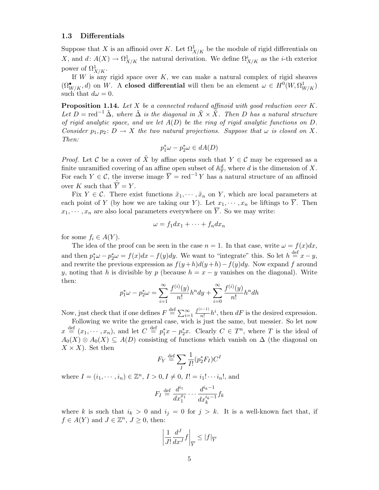#### 1.3 Differentials

Suppose that X is an affinoid over K. Let  $\Omega^1_{X/K}$  be the module of rigid differentials on X, and  $d: A(X) \to \Omega^1_{X/K}$  the natural derivation. We define  $\Omega^i_{X/K}$  as the *i*-th exterior power of  $\Omega^1_{X/K}$ .

If  $W$  is any rigid space over  $K$ , we can make a natural complex of rigid sheaves  $(\Omega^{\bullet}_{W/K}, d)$  on W. A closed differential will then be an element  $\omega \in H^0(W, \Omega^1_{W/K})$ such that  $d\omega = 0$ .

**Proposition 1.14.** Let  $X$  be a connected reduced affinoid with good reduction over  $K$ . Let  $D = \text{red}^{-1} \tilde{\Delta}$ , where  $\tilde{\Delta}$  is the diagonal in  $\tilde{X} \times \tilde{X}$ . Then D has a natural structure of rigid analytic space, and we let  $A(D)$  be the ring of rigid analytic functions on  $D$ . Consider  $p_1, p_2 \colon D \to X$  the two natural projections. Suppose that  $\omega$  is closed on X. Then:

$$
p_1^*\omega-p_2^*\omega\in dA(D)
$$

*Proof.* Let C be a cover of  $\tilde{X}$  by affine opens such that  $Y \in \mathcal{C}$  may be expressed as a finite unramified covering of an affine open subset of  $\mathbb{A}^d_{\mathbb{F}}$ , where d is the dimension of X. For each  $Y \in \mathcal{C}$ , the inverse image  $\overline{Y} = \text{red}^{-1} Y$  has a natural structure of an affinoid over K such that  $\tilde{\overline{Y}} = Y$ .

Fix  $Y \in \mathcal{C}$ . There exist functions  $\tilde{x}_1, \dots, \tilde{x}_n$  on Y, which are local parameters at each point of Y (by how we are taking our Y). Let  $x_1, \dots, x_n$  be liftings to  $\overline{Y}$ . Then  $x_1, \dots, x_n$  are also local parameters everywhere on  $\overline{Y}$ . So we may write:

$$
\omega = f_1 dx_1 + \dots + f_n dx_n
$$

for some  $f_i \in A(Y)$ .

The idea of the proof can be seen in the case  $n = 1$ . In that case, write  $\omega = f(x)dx$ , and then  $p_1^*\omega - p_2^*\omega = f(x)dx - f(y)dy$ . We want to "integrate" this. So let  $h \stackrel{\text{def}}{=} x - y$ , and rewrite the previous expression as  $f(y+h)d(y+h)-f(y)dy$ . Now expand f around y, noting that h is divisible by p (because  $h = x - y$  vanishes on the diagonal). Write then:

$$
p_1^*\omega - p_2^*\omega = \sum_{i=1}^{\infty} \frac{f^{(i)}(y)}{n!} h^n dy + \sum_{i=0}^{\infty} \frac{f^{(i)}(y)}{n!} h^n dh
$$

Now, just check that if one defines  $F \stackrel{\text{def}}{=} \sum_{i=1}^{\infty}$  $f^{(i-1)}$  $\frac{n^{(n-1)}}{n!}h^i$ , then  $dF$  is the desired expression.

Following we write the general case, wich is just the same, but messier. So let now  $x \stackrel{\text{def}}{=} (x_1, \dots, x_n)$ , and let  $C \stackrel{\text{def}}{=} p_1^* x - p_2^* x$ . Clearly  $C \in T^n$ , where T is the ideal of  $A_0(X) \otimes A_0(X) \subseteq A(D)$  consisting of functions which vanish on  $\Delta$  (the diagonal on  $X \times X$ ). Set then

$$
F_Y \stackrel{\text{def}}{=} \sum_I \frac{1}{I!} (p_2^* F_I) C^I
$$

where  $I = (i_1, \dots, i_n) \in \mathbb{Z}^n$ ,  $I > 0, I \neq 0, I! = i_1! \dots i_n!$ , and

$$
F_I \stackrel{\text{def}}{=} \frac{d^{i_1}}{dx_1^{x_1}} \cdots \frac{d^{i_k-1}}{dx_k^{i_k-1}} f_k
$$

where k is such that  $i_k > 0$  and  $i_j = 0$  for  $j > k$ . It is a well-known fact that, if  $f \in A(Y)$  and  $J \in \mathbb{Z}^n$ ,  $J \geq 0$ , then:

$$
\left| \frac{1}{J!} \frac{d^J}{dx^J} f \right|_{\overline{Y}} \le |f|_{\overline{Y}}
$$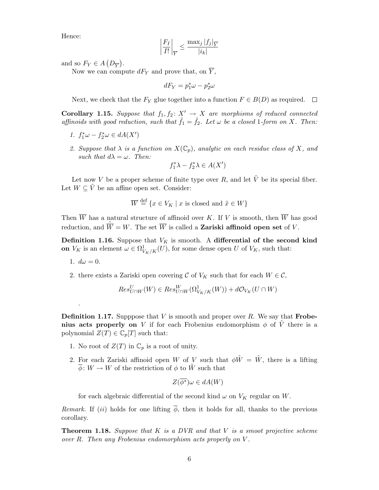Hence:

$$
\left|\frac{F_I}{I!}\right|_{\overline{Y}} \le \frac{\max_j |f_j|_{\overline{Y}}}{|i_k|}
$$

and so  $F_Y \in A(D_{\overline{Y}})$ .

Now we can compute  $dF_Y$  and prove that, on  $\overline{Y}$ ,

 $dF_Y = p_1^*\omega - p_2^*\omega$ 

Next, we check that the  $F_Y$  glue together into a function  $F \in B(D)$  as required.  $\Box$ 

**Corollary 1.15.** Suppose that  $f_1, f_2 \colon X' \to X$  are morphisms of reduced connected affinoids with good reduction, such that  $\tilde{f}_1 = \tilde{f}_2$ . Let  $\omega$  be a closed 1-form on X. Then:

- 1.  $f_1^*\omega f_2^*\omega \in dA(X')$
- 2. Suppose that  $\lambda$  is a function on  $X(\mathbb{C}_p)$ , analytic on each residue class of X, and such that  $d\lambda = \omega$ . Then:

$$
f_1^*\lambda - f_2^*\lambda \in A(X')
$$

Let now V be a proper scheme of finite type over R, and let  $\tilde{V}$  be its special fiber. Let  $W \subset \tilde{V}$  be an affine open set. Consider:

$$
\overline{W} \stackrel{\text{def}}{=} \{ x \in V_K \mid x \text{ is closed and } \tilde{x} \in W \}
$$

Then  $\overline{W}$  has a natural structure of affinoid over K. If V is smooth, then  $\overline{W}$  has good reduction, and  $\tilde{\overline{W}} = W$ . The set  $\overline{W}$  is called a **Zariski affinoid open set** of V.

Definition 1.16. Suppose that  $V_K$  is smooth. A differential of the second kind on  $V_K$  is an element  $\omega \in \Omega^1_{V_K/K}(U)$ , for some dense open U of  $V_K$ , such that:

1.  $d\omega = 0$ .

.

2. there exists a Zariski open covering C of  $V_K$  such that for each  $W \in \mathcal{C}$ ,

$$
Res^U_{U\cap W}(W)\in Res^W_{U\cap W}(\Omega^1_{V_K/K}(W))+d\mathcal{O}_{V_K}(U\cap W)
$$

**Definition 1.17.** Supppose that  $V$  is smooth and proper over  $R$ . We say that **Frobe**nius acts properly on V if for each Frobenius endomorphism  $\phi$  of  $\tilde{V}$  there is a polynomial  $Z(T) \in \mathbb{C}_p[T]$  such that:

- 1. No root of  $Z(T)$  in  $\mathbb{C}_p$  is a root of unity.
- 2. For each Zariski affinoid open W of V such that  $\phi \tilde{W} = \tilde{W}$ , there is a lifting  $\overline{\phi}$ :  $W \to W$  of the restriction of  $\phi$  to  $\tilde{W}$  such that

$$
Z(\overline{\phi^*})\omega \in dA(W)
$$

for each algebraic differential of the second kind  $\omega$  on  $V_K$  regular on W.

Remark. If (ii) holds for one lifting  $\overline{\phi}$ , then it holds for all, thanks to the previous corollary.

**Theorem 1.18.** Suppose that K is a DVR and that V is a smoot projective scheme over R. Then any Frobenius endomorphism acts properly on V .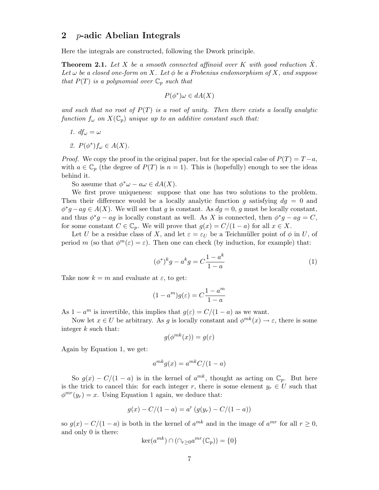## 2 p-adic Abelian Integrals

Here the integrals are constructed, following the Dwork principle.

**Theorem 2.1.** Let X be a smooth connected affinoid over K with good reduction X. Let  $\omega$  be a closed one-form on X. Let  $\phi$  be a Frobenius endomorphism of X, and suppose that  $P(T)$  is a polynomial over  $\mathbb{C}_p$  such that

$$
P(\phi^*)\omega \in dA(X)
$$

and such that no root of  $P(T)$  is a root of unity. Then there exists a locally analytic function  $f_{\omega}$  on  $X(\mathbb{C}_p)$  unique up to an additive constant such that:

- 1.  $df_{\omega} = \omega$
- 2.  $P(\phi^*) f_\omega \in A(X)$ .

*Proof.* We copy the proof in the original paper, but for the special calse of  $P(T) = T - a$ , with  $a \in \mathbb{C}_p$  (the degree of  $P(T)$  is  $n = 1$ ). This is (hopefully) enough to see the ideas behind it.

So assume that  $\phi^*\omega - a\omega \in dA(X)$ .

We first prove uniqueness: suppose that one has two solutions to the problem. Then their difference would be a locally analytic function g satisfying  $dq = 0$  and  $\phi^*g - ag \in A(X)$ . We will see that g is constant. As  $dg = 0$ , g must be locally constant, and thus  $\phi^*g - ag$  is locally constant as well. As X is connected, then  $\phi^*g - ag = C$ , for some constant  $C \in \mathbb{C}_p$ . We will prove that  $g(x) = C/(1-a)$  for all  $x \in X$ .

Let U be a residue class of X, and let  $\varepsilon = \varepsilon_U$  be a Teichmüller point of  $\phi$  in U, of period m (so that  $\phi^m(\varepsilon) = \varepsilon$ ). Then one can check (by induction, for example) that:

$$
(\phi^*)^k g - a^k g = C \frac{1 - a^k}{1 - a} \tag{1}
$$

Take now  $k = m$  and evaluate at  $\varepsilon$ , to get:

$$
(1 - am)g(\varepsilon) = C\frac{1 - am}{1 - a}
$$

As  $1 - a^m$  is invertible, this implies that  $g(\varepsilon) = C/(1 - a)$  as we want.

Now let  $x \in U$  be arbitrary. As g is locally constant and  $\phi^{mk}(x) \to \varepsilon$ , there is some integer k such that:

$$
g(\phi^{mk}(x)) = g(\varepsilon)
$$

Again by Equation 1, we get:

$$
a^{mk}g(x) = a^{mk}C/(1-a)
$$

So  $g(x) - C/(1 - a)$  is in the kernel of  $a^{mk}$ , thought as acting on  $\mathbb{C}_p$ . But here is the trick to cancel this: for each integer r, there is some element  $y_r \in U$  such that  $\phi^{mr}(y_r) = x$ . Using Equation 1 again, we deduce that:

$$
g(x) - C/(1 - a) = a^{r} (g(y_r) - C/(1 - a))
$$

so  $g(x) - C/(1 - a)$  is both in the kernel of  $a^{mk}$  and in the image of  $a^{mr}$  for all  $r \ge 0$ , and only 0 is there:

$$
\ker(a^{mk}) \cap (\cap_{r \ge 0} a^{mr}(\mathbb{C}_p)) = \{0\}
$$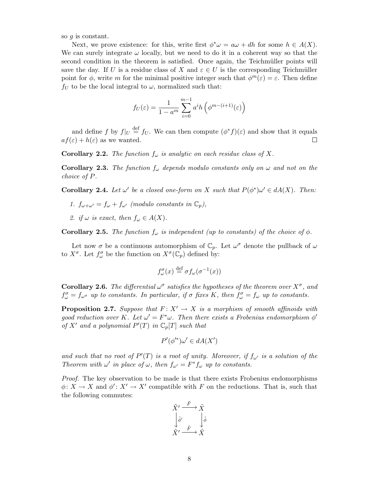so  $g$  is constant.

Next, we prove existence: for this, write first  $\phi^*\omega = a\omega + dh$  for some  $h \in A(X)$ . We can surely integrate  $\omega$  locally, but we need to do it in a coherent way so that the second condition in the theorem is satisfied. Once again, the Teichmüller points will save the day. If U is a residue class of X and  $\varepsilon \in U$  is the corresponding Teichmüller point for  $\phi$ , write m for the minimal positive integer such that  $\phi^m(\varepsilon) = \varepsilon$ . Then define  $f_U$  to be the local integral to  $\omega$ , normalized such that:

$$
f_U(\varepsilon) = \frac{1}{1 - a^m} \sum_{i=0}^{m-1} a^i h\left(\phi^{m - (i+1)}(\varepsilon)\right)
$$

and define f by  $f|_U \stackrel{\text{def}}{=} f_U$ . We can then compute  $(\phi^* f)(\varepsilon)$  and show that it equals  $af(\varepsilon) + h(\varepsilon)$  as we wanted.  $\Box$ 

**Corollary 2.2.** The function  $f_{\omega}$  is analytic on each residue class of X.

**Corollary 2.3.** The function  $f_{\omega}$  depends modulo constants only on  $\omega$  and not on the choice of P.

**Corollary 2.4.** Let  $\omega'$  be a closed one-form on X such that  $P(\phi^*)\omega' \in dA(X)$ . Then:

- 1.  $f_{\omega+\omega'}=f_{\omega}+f_{\omega'}$  (modulo constants in  $\mathbb{C}_p$ ),
- 2. if  $\omega$  is exact, then  $f_{\omega} \in A(X)$ .

**Corollary 2.5.** The function  $f_{\omega}$  is independent (up to constants) of the choice of  $\phi$ .

Let now  $\sigma$  be a continuous automorphism of  $\mathbb{C}_p$ . Let  $\omega^{\sigma}$  denote the pullback of  $\omega$ to  $X^{\sigma}$ . Let  $f^{\sigma}_{\omega}$  be the function on  $X^{\sigma}(\mathbb{C}_p)$  defined by:

$$
f^{\sigma}_{\omega}(x) \stackrel{\text{def}}{=} \sigma f_{\omega}(\sigma^{-1}(x))
$$

**Corollary 2.6.** The differential  $\omega^{\sigma}$  satisfies the hypotheses of the theorem over  $X^{\sigma}$ , and  $f^{\sigma}_{\omega} = f_{\omega^{\sigma}}$  up to constants. In particular, if  $\sigma$  fixes K, then  $f^{\sigma}_{\omega} = f_{\omega}$  up to constants.

**Proposition 2.7.** Suppose that  $F: X' \to X$  is a morphism of smooth affinoids with good reduction over K. Let  $\omega' = F^* \omega$ . Then there exists a Frobenius endomorphism  $\phi'$ of X' and a polynomial  $P'(T)$  in  $\mathbb{C}_p[T]$  such that

$$
P'(\phi'^*)\omega' \in dA(X')
$$

and such that no root of  $P'(T)$  is a root of unity. Moreover, if  $f_{\omega'}$  is a solution of the Theorem with  $\omega'$  in place of  $\omega$ , then  $f_{\omega'} = F^* f_{\omega}$  up to constants.

Proof. The key observation to be made is that there exists Frobenius endomorphisms  $\phi: X \to X$  and  $\phi': X' \to X'$  compatible with F on the reductions. That is, such that the following commutes:

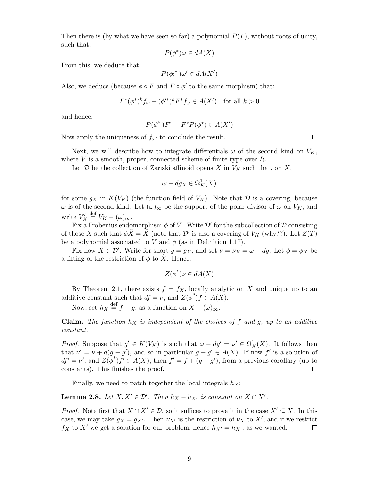Then there is (by what we have seen so far) a polynomial  $P(T)$ , without roots of unity, such that:

$$
P(\phi^*)\omega \in dA(X)
$$

From this, we deduce that:

$$
P(\phi;^*)\omega' \in dA(X')
$$

Also, we deduce (because  $\phi \circ F$  and  $F \circ \phi'$  to the same morphism) that:

$$
F^*(\phi^*)^k f_\omega - (\phi'^*)^k F^* f_\omega \in A(X') \quad \text{for all } k > 0
$$

and hence:

$$
P(\phi'^{*})F^{*} - F^{*}P(\phi^{*}) \in A(X')
$$

Now apply the uniqueness of  $f_{\omega'}$  to conclude the result.

Next, we will describe how to integrate differentials  $\omega$  of the second kind on  $V_K$ , where  $V$  is a smooth, proper, connected scheme of finite type over  $R$ .

Let  $\mathcal D$  be the collection of Zariski affinoid opens X in  $V_K$  such that, on X,

$$
\omega - dg_X \in \Omega^1_K(X)
$$

for some  $g_X$  in  $K(V_K)$  (the function field of  $V_K$ ). Note that  $\mathcal D$  is a covering, because  $\omega$  is of the second kind. Let  $(\omega)_{\infty}$  be the support of the polar divisor of  $\omega$  on  $V_K$ , and write  $V'_K \stackrel{\text{def}}{=} V_K - (\omega)_{\infty}$ .

Fix a Frobenius endomorphism  $\phi$  of  $\tilde{V}$ . Write  $\mathcal{D}'$  for the subcollection of  $\mathcal D$  consisting of those X such that  $\phi \tilde{X} = \tilde{X}$  (note that  $\mathcal{D}'$  is also a covering of  $V_K$  (why??). Let  $Z(T)$ be a polynomial associated to V and  $\phi$  (as in Definition 1.17).

Fix now  $X \in \mathcal{D}'$ . Write for short  $g = g_X$ , and set  $\nu = \nu_X = \omega - dg$ . Let  $\overline{\phi} = \overline{\phi_X}$  be a lifting of the restriction of  $\phi$  to X. Hence:

$$
Z(\overline{\phi}^*)\nu \in dA(X)
$$

By Theorem 2.1, there exists  $f = f_X$ , locally analytic on X and unique up to an additive constant such that  $df = \nu$ , and  $Z(\overline{\phi}^*)f \in A(X)$ .

Now, set  $h_X \stackrel{\text{def}}{=} f + g$ , as a function on  $X - (\omega)_{\infty}$ .

**Claim.** The function  $h_X$  is independent of the choices of f and g, up to an additive constant.

*Proof.* Suppose that  $g' \in K(V_K)$  is such that  $\omega - dg' = \nu' \in \Omega_K^1(X)$ . It follows then that  $\nu' = \nu + d(g - g')$ , and so in particular  $g - g' \in A(X)$ . If now f' is a solution of  $df' = \nu'$ , and  $Z(\phi^*)f' \in A(X)$ , then  $f' = f + (g - g')$ , from a previous corollary (up to constants). This finishes the proof.  $\Box$ 

Finally, we need to patch together the local integrals  $h_X$ :

**Lemma 2.8.** Let  $X, X' \in \mathcal{D}'$ . Then  $h_X - h_{X'}$  is constant on  $X \cap X'$ .

*Proof.* Note first that  $X \cap X' \in \mathcal{D}$ , so it suffices to prove it in the case  $X' \subseteq X$ . In this case, we may take  $g_X = g_{X'}$ . Then  $\nu_{X'}$  is the restriction of  $\nu_X$  to  $X'$ , and if we restrict  $f_X$  to X' we get a solution for our problem, hence  $h_{X'} = h_X|$ , as we wanted.  $\Box$ 

 $\Box$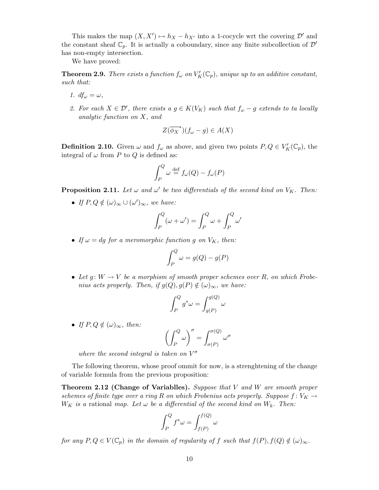This makes the map  $(X, X') \mapsto h_X - h_{X'}$  into a 1-cocycle wrt the covering  $\mathcal{D}'$  and the constant sheaf  $\mathbb{C}_p$ . It is actually a coboundary, since any finite subcollection of  $\mathcal{D}'$ has non-empty intersection.

We have proved:

**Theorem 2.9.** There exists a function  $f_\omega$  on  $V'_K(\mathbb{C}_p)$ , unique up to an additive constant, such that:

- 1.  $df_{\omega} = \omega$ ,
- 2. For each  $X \in \mathcal{D}'$ , there exists a  $g \in K(V_K)$  such that  $f_{\omega} g$  extends to ta locally analytic function on X, and

$$
Z(\overline{\phi_X}^*)(f_\omega - g) \in A(X)
$$

**Definition 2.10.** Given  $\omega$  and  $f_{\omega}$  as above, and given two points  $P, Q \in V_K'(\mathbb{C}_p)$ , the integral of  $\omega$  from P to Q is defined as:

$$
\int_P^Q \omega \stackrel{\text{def}}{=} f_\omega(Q) - f_\omega(P)
$$

**Proposition 2.11.** Let  $\omega$  and  $\omega'$  be two differentials of the second kind on  $V_K$ . Then:

• If  $P, Q \notin (\omega)_{\infty} \cup (\omega')_{\infty}$ , we have:

$$
\int_P^Q (\omega + \omega') = \int_P^Q \omega + \int_P^Q \omega'
$$

• If  $\omega = dg$  for a meromorphic function g on  $V_K$ , then:

$$
\int_P^Q \omega = g(Q) - g(P)
$$

• Let  $q: W \to V$  be a morphism of smooth proper schemes over R, on which Frobenius acts properly. Then, if  $g(Q), g(P) \notin (\omega)_{\infty}$ , we have:

$$
\int_P^Q g^*\omega = \int_{g(P)}^{g(Q)} \omega
$$

• If  $P, Q \notin (\omega)_{\infty}$ , then:

$$
\left(\int_P^Q \omega\right)^\sigma = \int_{\sigma(P)}^{\sigma(Q)} \omega^\sigma
$$

where the second integral is taken on  $V^{\sigma}$ 

The following theorem, whose proof ommit for now, is a strenghtening of the change of variable formula from the previous proposition:

**Theorem 2.12 (Change of Variablles).** Suppose that  $V$  and  $W$  are smooth proper schemes of finite type over a ring R on which Frobenius acts properly. Suppose  $f: V_K \to$  $W_K$  is a rational map. Let  $\omega$  be a differential of the second kind on  $W_k$ . Then:

$$
\int_P^Q f^* \omega = \int_{f(P)}^{f(Q)} \omega
$$

for any  $P, Q \in V(\mathbb{C}_p)$  in the domain of regularity of f such that  $f(P), f(Q) \notin (\omega)_{\infty}$ .